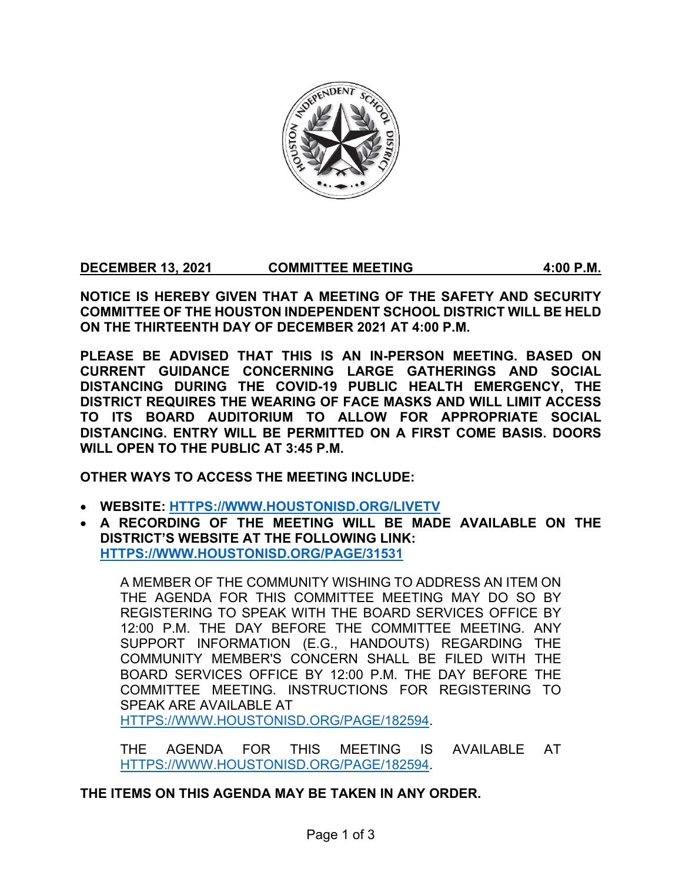

**DECEMBER 13, 2021 COMMITTEE MEETING 4:00 P.M.**

**NOTICE IS HEREBY GIVEN THAT A MEETING OF THE SAFETY AND SECURITY COMMITTEE OF THE HOUSTON INDEPENDENT SCHOOL DISTRICT WILL BE HELD ON THE THIRTEENTH DAY OF DECEMBER 2021 AT 4:00 P.M.**

**PLEASE BE ADVISED THAT THIS IS AN IN-PERSON MEETING. BASED ON CURRENT GUIDANCE CONCERNING LARGE GATHERINGS AND SOCIAL DISTANCING DURING THE COVID-19 PUBLIC HEALTH EMERGENCY, THE DISTRICT REQUIRES THE WEARING OF FACE MASKS AND WILL LIMIT ACCESS TO ITS BOARD AUDITORIUM TO ALLOW FOR APPROPRIATE SOCIAL DISTANCING. ENTRY WILL BE PERMITTED ON A FIRST COME BASIS. DOORS WILL OPEN TO THE PUBLIC AT 3:45 P.M.**

**OTHER WAYS TO ACCESS THE MEETING INCLUDE:**

- **WEBSITE: [HTTPS://WWW.HOUSTONISD.ORG/LIVETV](https://www.houstonisd.org/livetv)**
- **A RECORDING OF THE MEETING WILL BE MADE AVAILABLE ON THE DISTRICT'S WEBSITE AT THE FOLLOWING LINK: [HTTPS://WWW.HOUSTONISD.ORG/PAGE/31531](https://www.houstonisd.org/Page/31531)**

A MEMBER OF THE COMMUNITY WISHING TO ADDRESS AN ITEM ON THE AGENDA FOR THIS COMMITTEE MEETING MAY DO SO BY REGISTERING TO SPEAK WITH THE BOARD SERVICES OFFICE BY 12:00 P.M. THE DAY BEFORE THE COMMITTEE MEETING. ANY SUPPORT INFORMATION (E.G., HANDOUTS) REGARDING THE COMMUNITY MEMBER'S CONCERN SHALL BE FILED WITH THE BOARD SERVICES OFFICE BY 12:00 P.M. THE DAY BEFORE THE COMMITTEE MEETING. INSTRUCTIONS FOR REGISTERING TO SPEAK ARE AVAILABLE AT [HTTPS://WWW.HOUSTONISD.ORG/PAGE/182594.](https://www.houstonisd.org/Page/182594)

THE AGENDA FOR THIS MEETING IS AVAILABLE AT [HTTPS://WWW.HOUSTONISD.ORG/PAGE/182594.](https://www.houstonisd.org/Page/182594)

**THE ITEMS ON THIS AGENDA MAY BE TAKEN IN ANY ORDER.**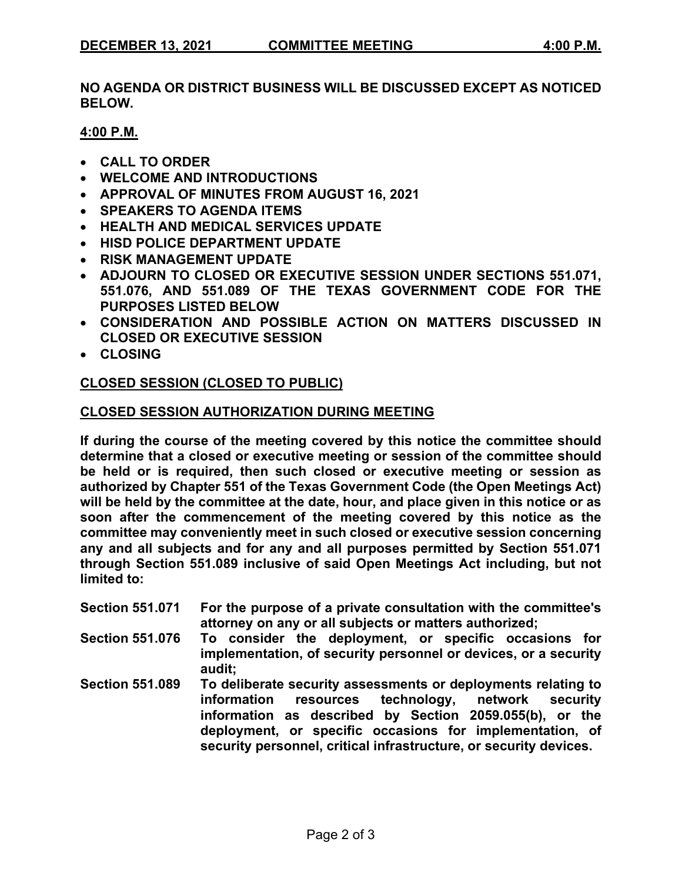**NO AGENDA OR DISTRICT BUSINESS WILL BE DISCUSSED EXCEPT AS NOTICED BELOW.**

### **4:00 P.M.**

- **CALL TO ORDER**
- **WELCOME AND INTRODUCTIONS**
- **APPROVAL OF MINUTES FROM AUGUST 16, 2021**
- **SPEAKERS TO AGENDA ITEMS**
- **HEALTH AND MEDICAL SERVICES UPDATE**
- **HISD POLICE DEPARTMENT UPDATE**
- **RISK MANAGEMENT UPDATE**
- **ADJOURN TO CLOSED OR EXECUTIVE SESSION UNDER SECTIONS 551.071, 551.076, AND 551.089 OF THE TEXAS GOVERNMENT CODE FOR THE PURPOSES LISTED BELOW**
- **CONSIDERATION AND POSSIBLE ACTION ON MATTERS DISCUSSED IN CLOSED OR EXECUTIVE SESSION**
- **CLOSING**

# **CLOSED SESSION (CLOSED TO PUBLIC)**

### **CLOSED SESSION AUTHORIZATION DURING MEETING**

**If during the course of the meeting covered by this notice the committee should determine that a closed or executive meeting or session of the committee should be held or is required, then such closed or executive meeting or session as authorized by Chapter 551 of the Texas Government Code (the Open Meetings Act) will be held by the committee at the date, hour, and place given in this notice or as soon after the commencement of the meeting covered by this notice as the committee may conveniently meet in such closed or executive session concerning any and all subjects and for any and all purposes permitted by Section 551.071 through Section 551.089 inclusive of said Open Meetings Act including, but not limited to:**

- **Section 551.071 For the purpose of a private consultation with the committee's attorney on any or all subjects or matters authorized;**
- **Section 551.076 To consider the deployment, or specific occasions for implementation, of security personnel or devices, or a security audit;**
- **Section 551.089 To deliberate security assessments or deployments relating to**  technology, network security **information as described by Section 2059.055(b), or the deployment, or specific occasions for implementation, of security personnel, critical infrastructure, or security devices.**